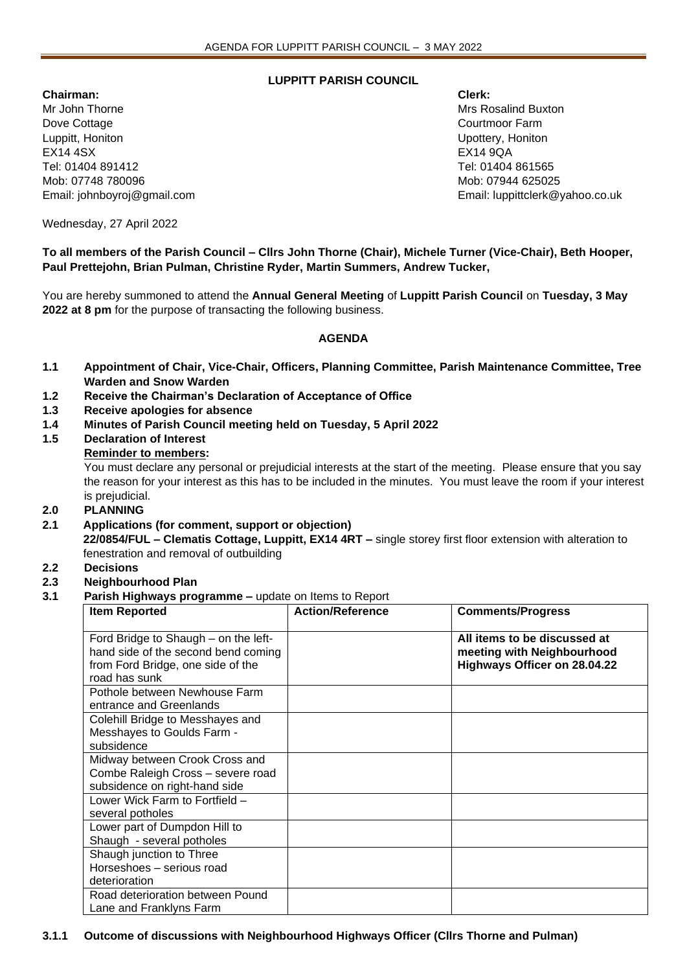# **LUPPITT PARISH COUNCIL**

**Chairman: Clerk:** Mr John Thorne Mrs Rosalind Buxton Mrs Rosalind Buxton Mrs Rosalind Buxton Dove Cottage **Courtmoon Courtmoon Courtmoon Courtmoon Courtmoon Farm** Luppitt, Honiton Upottery, Honiton EX14 4SX EX14 9QA Tel: 01404 891412 Tel: 01404 861565 Mob: 07748 780096 Mob: 07944 625025

Email: johnboyroj@gmail.com Email: luppittclerk@yahoo.co.uk

Wednesday, 27 April 2022

**To all members of the Parish Council – Cllrs John Thorne (Chair), Michele Turner (Vice-Chair), Beth Hooper, Paul Prettejohn, Brian Pulman, Christine Ryder, Martin Summers, Andrew Tucker,** 

You are hereby summoned to attend the **Annual General Meeting** of **Luppitt Parish Council** on **Tuesday, 3 May 2022 at 8 pm** for the purpose of transacting the following business.

### **AGENDA**

- **1.1 Appointment of Chair, Vice-Chair, Officers, Planning Committee, Parish Maintenance Committee, Tree Warden and Snow Warden**
- **1.2 Receive the Chairman's Declaration of Acceptance of Office**
- **1.3 Receive apologies for absence**
- **1.4 Minutes of Parish Council meeting held on Tuesday, 5 April 2022**
- **1.5 Declaration of Interest**

### **Reminder to members:**

You must declare any personal or prejudicial interests at the start of the meeting. Please ensure that you say the reason for your interest as this has to be included in the minutes. You must leave the room if your interest is prejudicial.

#### **2.0 PLANNING**

**2.1 Applications (for comment, support or objection)**

**22/0854/FUL – Clematis Cottage, Luppitt, EX14 4RT –** single storey first floor extension with alteration to fenestration and removal of outbuilding

#### **2.2 Decisions**

# **2.3 Neighbourhood Plan**

**3.1 Parish Highways programme –** update on Items to Report

| <b>Item Reported</b>                                                                                                              | <b>Action/Reference</b> | <b>Comments/Progress</b>                                                                   |
|-----------------------------------------------------------------------------------------------------------------------------------|-------------------------|--------------------------------------------------------------------------------------------|
| Ford Bridge to Shaugh – on the left-<br>hand side of the second bend coming<br>from Ford Bridge, one side of the<br>road has sunk |                         | All items to be discussed at<br>meeting with Neighbourhood<br>Highways Officer on 28.04.22 |
| Pothole between Newhouse Farm<br>entrance and Greenlands                                                                          |                         |                                                                                            |
| Colehill Bridge to Messhayes and<br>Messhayes to Goulds Farm -<br>subsidence                                                      |                         |                                                                                            |
| Midway between Crook Cross and<br>Combe Raleigh Cross - severe road<br>subsidence on right-hand side                              |                         |                                                                                            |
| Lower Wick Farm to Fortfield -<br>several potholes                                                                                |                         |                                                                                            |
| Lower part of Dumpdon Hill to<br>Shaugh - several potholes                                                                        |                         |                                                                                            |
| Shaugh junction to Three<br>Horseshoes - serious road<br>deterioration                                                            |                         |                                                                                            |
| Road deterioration between Pound<br>Lane and Franklyns Farm                                                                       |                         |                                                                                            |